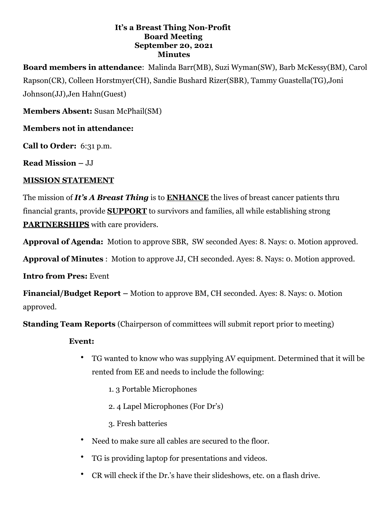#### **It's a Breast Thing Non-Profit Board Meeting September 20, 2021 Minutes**

**Board members in attendance**: Malinda Barr(MB), Suzi Wyman(SW), Barb McKessy(BM), Carol Rapson(CR), Colleen Horstmyer(CH), Sandie Bushard Rizer(SBR), Tammy Guastella(TG),Joni Johnson(JJ),Jen Hahn(Guest)

**Members Absent:** Susan McPhail(SM)

### **Members not in attendance:**

**Call to Order:** 6:31 p.m.

**Read Mission –** JJ

### **MISSION STATEMENT**

The mission of *It's A Breast Thing* is to **ENHANCE** the lives of breast cancer patients thru financial grants, provide **SUPPORT** to survivors and families, all while establishing strong **PARTNERSHIPS** with care providers.

**Approval of Agenda:** Motion to approve SBR, SW seconded Ayes: 8. Nays: 0. Motion approved.

**Approval of Minutes** : Motion to approve JJ, CH seconded. Ayes: 8. Nays: 0. Motion approved.

**Intro from Pres:** Event

**Financial/Budget Report –** Motion to approve BM, CH seconded. Ayes: 8. Nays: 0. Motion approved.

**Standing Team Reports** (Chairperson of committees will submit report prior to meeting)

### **Event:**

- TG wanted to know who was supplying AV equipment. Determined that it will be rented from EE and needs to include the following:
	- 1. 3 Portable Microphones
	- 2. 4 Lapel Microphones (For Dr's)
	- 3. Fresh batteries
- Need to make sure all cables are secured to the floor.
- TG is providing laptop for presentations and videos.
- CR will check if the Dr.'s have their slideshows, etc. on a flash drive.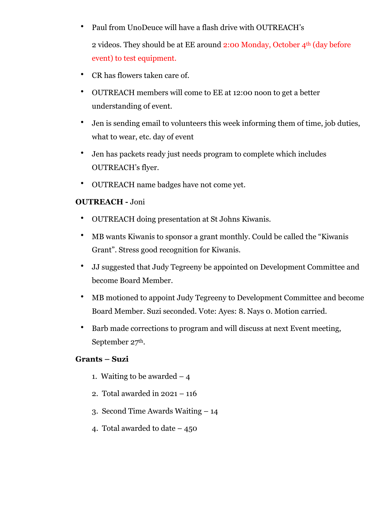• Paul from UnoDeuce will have a flash drive with OUTREACH's

2 videos. They should be at EE around 2:00 Monday, October 4th (day before event) to test equipment.

- CR has flowers taken care of.
- OUTREACH members will come to EE at 12:00 noon to get a better understanding of event.
- Jen is sending email to volunteers this week informing them of time, job duties, what to wear, etc. day of event
- Jen has packets ready just needs program to complete which includes OUTREACH's flyer.
- OUTREACH name badges have not come yet.

### **OUTREACH -** Joni

- OUTREACH doing presentation at St Johns Kiwanis.
- MB wants Kiwanis to sponsor a grant monthly. Could be called the "Kiwanis Grant". Stress good recognition for Kiwanis.
- JJ suggested that Judy Tegreeny be appointed on Development Committee and become Board Member.
- MB motioned to appoint Judy Tegreeny to Development Committee and become Board Member. Suzi seconded. Vote: Ayes: 8. Nays 0. Motion carried.
- Barb made corrections to program and will discuss at next Event meeting, September 27th.

### **Grants – Suzi**

- 1. Waiting to be awarded  $-4$
- 2. Total awarded in 2021 116
- 3. Second Time Awards Waiting 14
- 4. Total awarded to date 450